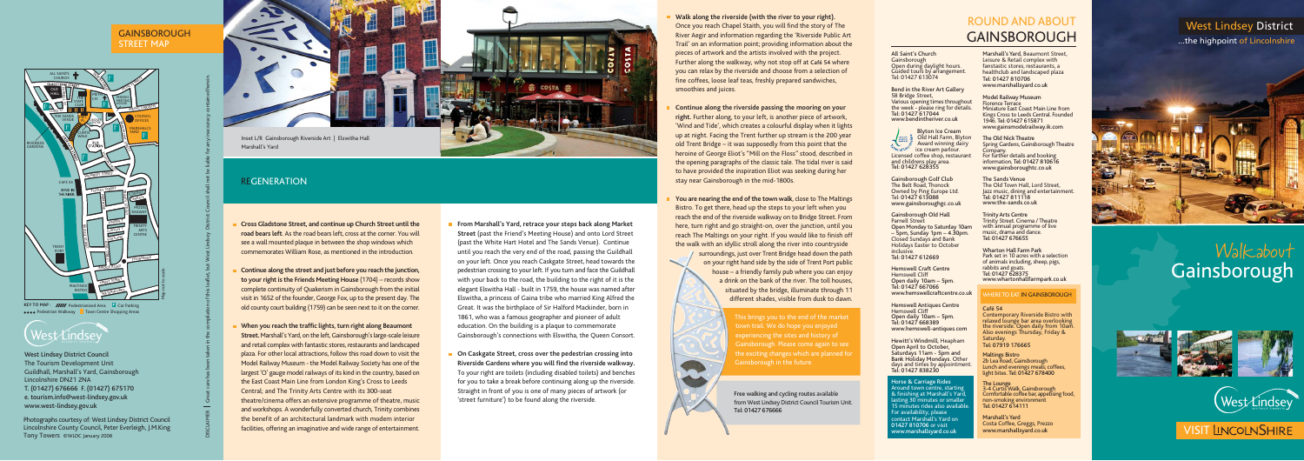# Walkabout Gainsborough









**VISIT LINCOLNSHIRE** 

# West Lindsey District

...the highpoint of Lincolnshire



# ROUND AND ABOUT GAINSBOROUGH

- **Cross Gladstone Street, and continue up Church Street until the road bears left**. As the road bears left, cross at the corner. You will see a wall mounted plaque in between the shop windows which commemorates William Rose, as mentioned in the introduction.
- **Continue along the street and just before you reach the junction, to your right is the Friends Meeting House** (1704) – records show complete continuity of Quakerism in Gainsborough from the initial visit in 1652 of the founder, George Fox, up to the present day. The old county court building (1759) can be seen next to it on the corner.
- **When you reach the traffic lights, turn right along Beaumont Street.** Marshall's Yard, on the left, Gainsborough's large-scale leisure and retail complex with fantastic stores, restaurants and landscaped plaza. For other local attractions, follow this road down to visit the Model Railway Museum - the Model Railway Society has one of the largest 'O' gauge model railways of its kind in the country, based on the East Coast Main Line from London King's Cross to Leeds Central; and The Trinity Arts Centre with its 300-seat theatre/cinema offers an extensive programme of theatre, music and workshops. A wonderfully converted church, Trinity combines the benefit of an architectural landmark with modern interior facilities, offering an imaginative and wide range of entertainment.
- **From Marshall's Yard, retrace your steps back along Market Street** (past the Friend's Meeting House) and onto Lord Street (past the White Hart Hotel and The Sands Venue). Continue until you reach the very end of the road, passing the Guildhall on your left. Once you reach Caskgate Street, head towards the pedestrian crossing to your left. If you turn and face the Guildhall with your back to the road, the building to the right of it is the elegant Elswitha Hall - built in 1759, the house was named after Elswitha, a princess of Gaina tribe who married King Alfred the Great. It was the birthplace of Sir Halford Mackinder, born in 1861, who was a famous geographer and pioneer of adult education. On the building is a plaque to commemorate Gainsborough's connections with Elswitha, the Queen Consort.
- **On Caskgate Street, cross over the pedestrian crossing into Riverside Gardens where you will find the riverside walkway.** To your right are toilets (including disabled toilets) and benches for you to take a break before continuing along up the riverside. Straight in front of you is one of many pieces of artwork (or 'street furniture') to be found along the riverside.
- 
- 
- 

West Lindsey District Council The Tourism Development Unit Guildhall, Marshall's Yard, Gainsborough Lincolnshire DN21 2NA T. (01427) 676666 F. (01427) 675170 e. tourism.info@west-lindsey.gov.uk www.west-lindsey.gov.uk

## GAINSBOROUGH STREET MAP

This brings you to the end of the market town trail. We do hope you enjoyed experiencing the sites and history of Gainsborough. Please come again to see the exciting changes which are planned for Gainsborough in the future.

## **Walk along the riverside (with the river to your right).**

Once you reach Chapel Staith, you will find the story of The River Aegir and information regarding the 'Riverside Public Art Trail' on an information point; providing information about the pieces of artwork and the artists involved with the project. Further along the walkway, why not stop off at Café 54 where you can relax by the riverside and choose from a selection of fine coffees, loose leaf teas, freshly prepared sandwiches, smoothies and juices.

**Continue along the riverside passing the mooring on your right.** Further along, to your left, is another piece of artwork, 'Wind and Tide', which creates a colourful display when it lights up at night. Facing the Trent further up stream is the 200 year old Trent Bridge – it was supposedly from this point that the heroine of George Eliot's "Mill on the Floss" stood, described in the opening paragraphs of the classic tale. The tidal river is said to have provided the inspiration Eliot was seeking during her stay near Gainsborough in the mid-1800s.

**You are nearing the end of the town walk**, close to The Maltings Bistro. To get there, head up the steps to your left when you reach the end of the riverside walkway on to Bridge Street. From here, turn right and go straight-on, over the junction, until you reach The Maltings on your right. If you would like to finish off the walk with an idyllic stroll along the river into countryside surroundings, just over Trent Bridge head down the path on your right hand side by the side of Trent Port public house – a friendly family pub where you can enjoy a drink on the bank of the river. The toll houses, situated by the bridge, illuminate through 11 different shades, visible from dusk to dawn.



Marshall's Yard

# REGENERATION

DISCLAIMER Great care has been taken in the compilation of this leaflet, but West Lindsey District Council shall not be liable for any inaccuracy contained herein.

Marshall's Yard, Beaumont Street, Leisure & Retail complex with fanstastic stores, restaurants, a healthclub and landscaped plaza Tel: 01427 810706 www.marshallsyard.co.uk

Model Railway Museum Florence Terrace Miniature East Coast Main Line from Kings Cross to Leeds Central. Founded 1946. Tel: 01427 615871 www.gainsmodelrailway.ik.com

The Old Nick Theatre Spring Gardens, Gainsborough Theatre Company. For further details and booking information, Tel: 01427 810616 www.gainsboroughtc.co.uk

The Sands Venue The Old Town Hall, Lord Street. Jazz music, dining and entertainment. Tel: 01427 811118 www.the-sands.co.uk

Trinity Arts Centre Trinity Street. Cinema / Theatre with annual programme of live music, drama and dance. Tel: 01427 676655

Wharton Hall Farm Park Park set in 10 acres with a selection of animals including, sheep, pigs, rabbits and goats. Tel: 01427 628375 www.whartonhallfarmpark.co.uk

## HERE TO EAT IN GAINSBOROUGH

## Café 54

Contemporary Riverside Bistro with relaxed lounge bar area overlooking the riverside. Open daily from 10am. Also evenings Thursday, Friday & Saturday. Tel: 07919 176665

Maltings Bistro 2b Lea Road, Gainsborough Lunch and evenings meals; coffees, light bites. Tel: 01427 678400

The Lounge 3-4 Curtis Walk, Gainsborough Comfortable coffee bar, appetising food, non-smoking environment Tel: 01427 614111

Marshall's Yard Costa Coffee, Greggs, Prezzo www.marshallsyard.co.uk

Photographs courtesy of: West Lindsey District Council Lincolnshire County Council, Peter Everleigh, J.M.King Tony Towers ©WLDC January 2008

Free walking and cycling routes available from West Lindsey District Council Tourism Unit. Tel: 01427 676666

All Saint's Church **Gainsborough** Open during daylight hours. Guided tours by arrangement. Tel: 01427 613074

Bend in the River Art Gallery 58 Bridge Street, Various opening times throughout the week - please ring for details. Tel: 01427 617044 www.bendintheriver.co.uk

Blyton Ice Cream Old Hall Farm, Blyton Award winning dairy ice cream parlour. Licensed coffee shop, restaurant and childrens play area. Tel: 01427 628355

Gainsborough Golf Club The Belt Road, Thonock Owned by Ping Europe Ltd. Tel: 01427 613088 www.gainsboroughgc.co.uk

Gainsborough Old Hall Parnell Street Open Monday to Saturday 10am – 5pm, Sunday 1pm – 4.30pm. Closed Sundays and Bank Holidays Easter to October inclusive. Tel: 01427 612669

Hemswell Craft Centre Hemswell Cliff Open daily 10am – 5pm. Tel: 01427 667066 www.hemswellcraftcentre.co.uk

Hemswell Antiques Centre Hemswell Cliff Open daily 10am – 5pm. Tel: 01427 668389 www.hemswell-antiques.com

Hewitt's Windmill, Heapham Open April to October, Saturdays 11am - 5pm and Bank Holiday Mondays. Other days and times by appointment. Tel: 01427 838230

## Horse & Carriage Rides Around town centre, starting  $\&$  finishing at Marshall's Yar $\overline{\phantom{a}}$ lasting 30 minutes or smalle 5 minutes rides also availal For availability, please contact Marshall's Yard on 01427 810706 or visit www.marshallsyard.co.uk



KEY TO MAP : **//////** Pedestrianised Area **Car Parking PEDESTRIAN WALKWAY TOWN Centre Shopping Areas**